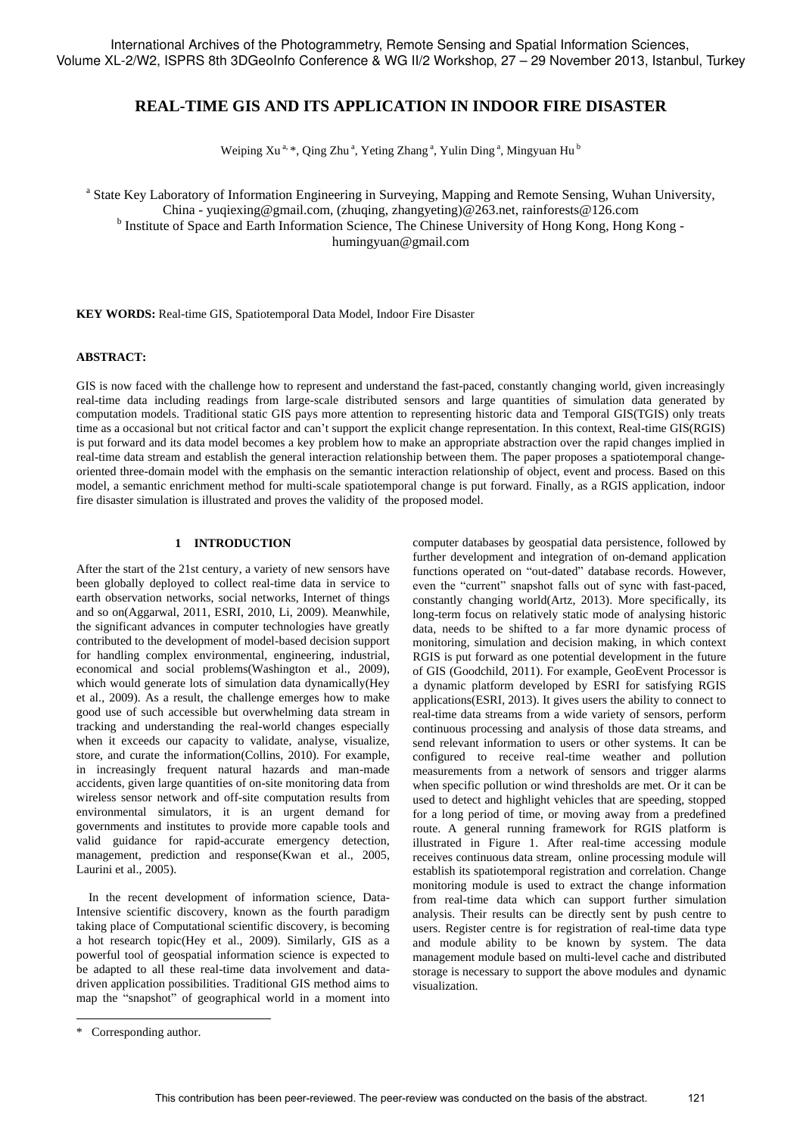# **REAL-TIME GIS AND ITS APPLICATION IN INDOOR FIRE DISASTER**

Weiping Xu<sup>a, \*</sup>, Qing Zhu<sup>a</sup>, Yeting Zhang<sup>a</sup>, Yulin Ding<sup>a</sup>, Mingyuan Hu<sup>b</sup>

<sup>a</sup> State Key Laboratory of Information Engineering in Surveying, Mapping and Remote Sensing, Wuhan University, China - yuqiexing@gmail.com, (zhuqing, zhangyeting)@263.net, rainforests@126.com <sup>b</sup> Institute of Space and Earth Information Science, The Chinese University of Hong Kong, Hong Kong humingyuan@gmail.com

**KEY WORDS:** Real-time GIS, Spatiotemporal Data Model, Indoor Fire Disaster

#### **ABSTRACT:**

GIS is now faced with the challenge how to represent and understand the fast-paced, constantly changing world, given increasingly real-time data including readings from large-scale distributed sensors and large quantities of simulation data generated by computation models. Traditional static GIS pays more attention to representing historic data and Temporal GIS(TGIS) only treats time as a occasional but not critical factor and can't support the explicit change representation. In this context, Real-time GIS(RGIS) is put forward and its data model becomes a key problem how to make an appropriate abstraction over the rapid changes implied in real-time data stream and establish the general interaction relationship between them. The paper proposes a spatiotemporal changeoriented three-domain model with the emphasis on the semantic interaction relationship of object, event and process. Based on this model, a semantic enrichment method for multi-scale spatiotemporal change is put forward. Finally, as a RGIS application, indoor fire disaster simulation is illustrated and proves the validity of the proposed model.

## **1 INTRODUCTION**

After the start of the 21st century, a variety of new sensors have been globally deployed to collect real-time data in service to earth observation networks, social networks, Internet of things and so on(Aggarwal, 2011, ESRI, 2010, Li, 2009). Meanwhile, the significant advances in computer technologies have greatly contributed to the development of model-based decision support for handling complex environmental, engineering, industrial, economical and social problems(Washington et al., 2009), which would generate lots of simulation data dynamically(Hey et al., 2009). As a result, the challenge emerges how to make good use of such accessible but overwhelming data stream in tracking and understanding the real-world changes especially when it exceeds our capacity to validate, analyse, visualize, store, and curate the information(Collins, 2010). For example, in increasingly frequent natural hazards and man-made accidents, given large quantities of on-site monitoring data from wireless sensor network and off-site computation results from environmental simulators, it is an urgent demand for governments and institutes to provide more capable tools and valid guidance for rapid-accurate emergency detection, management, prediction and response(Kwan et al., 2005, Laurini et al., 2005).

In the recent development of information science, Data-Intensive scientific discovery, known as the fourth paradigm taking place of Computational scientific discovery, is becoming a hot research topic(Hey et al., 2009). Similarly, GIS as a powerful tool of geospatial information science is expected to be adapted to all these real-time data involvement and datadriven application possibilities. Traditional GIS method aims to map the "snapshot" of geographical world in a moment into

computer databases by geospatial data persistence, followed by further development and integration of on-demand application functions operated on "out-dated" database records. However, even the "current" snapshot falls out of sync with fast-paced, constantly changing world(Artz, 2013). More specifically, its long-term focus on relatively static mode of analysing historic data, needs to be shifted to a far more dynamic process of monitoring, simulation and decision making, in which context RGIS is put forward as one potential development in the future of GIS (Goodchild, 2011). For example, GeoEvent Processor is a dynamic platform developed by ESRI for satisfying RGIS applications(ESRI, 2013). It gives users the ability to connect to real-time data streams from a wide variety of sensors, perform continuous processing and analysis of those data streams, and send relevant information to users or other systems. It can be configured to receive real-time weather and pollution measurements from a network of sensors and trigger alarms when specific pollution or wind thresholds are met. Or it can be used to detect and highlight vehicles that are speeding, stopped for a long period of time, or moving away from a predefined route. A general running framework for RGIS platform is illustrated in Figure 1. After real-time accessing module receives continuous data stream, online processing module will establish its spatiotemporal registration and correlation. Change monitoring module is used to extract the change information from real-time data which can support further simulation analysis. Their results can be directly sent by push centre to users. Register centre is for registration of real-time data type and module ability to be known by system. The data management module based on multi-level cache and distributed storage is necessary to support the above modules and dynamic visualization.

l

<sup>\*</sup> Corresponding author.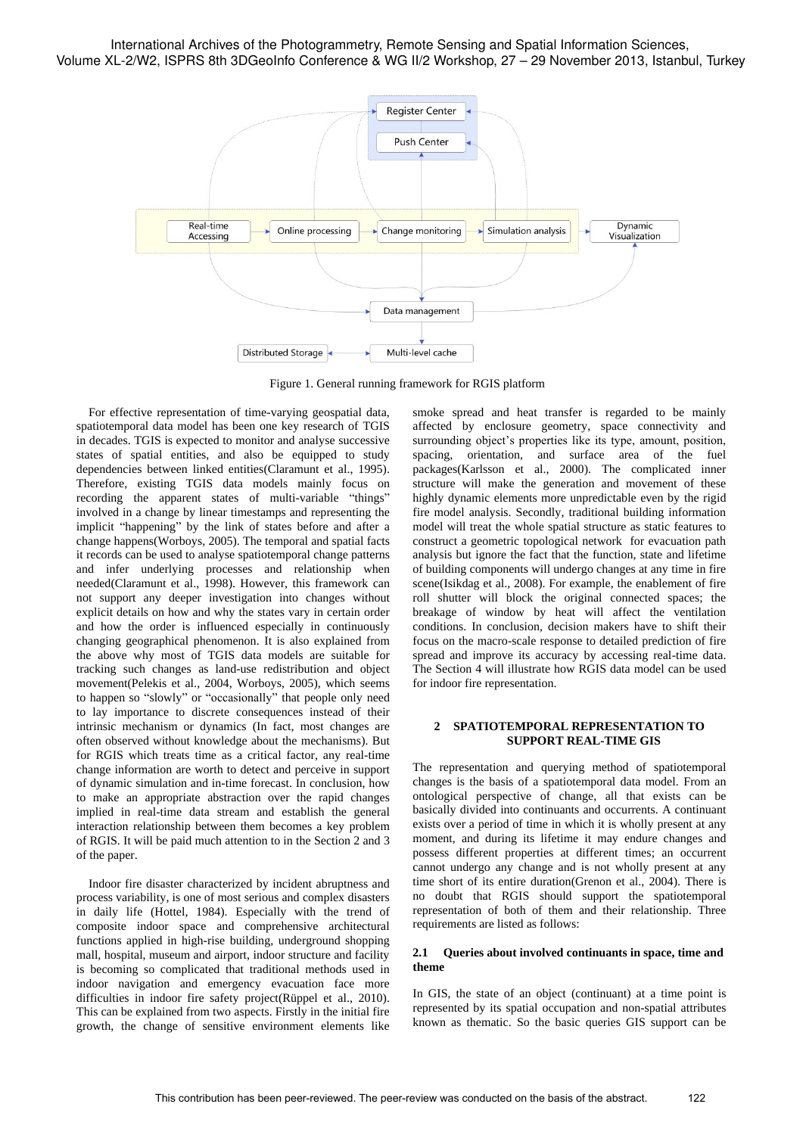

Figure 1. General running framework for RGIS platform

For effective representation of time-varying geospatial data, spatiotemporal data model has been one key research of TGIS in decades. TGIS is expected to monitor and analyse successive states of spatial entities, and also be equipped to study dependencies between linked entities(Claramunt et al., 1995). Therefore, existing TGIS data models mainly focus on recording the apparent states of multi-variable "things" involved in a change by linear timestamps and representing the implicit "happening" by the link of states before and after a change happens(Worboys, 2005). The temporal and spatial facts it records can be used to analyse spatiotemporal change patterns and infer underlying processes and relationship when needed(Claramunt et al., 1998). However, this framework can not support any deeper investigation into changes without explicit details on how and why the states vary in certain order and how the order is influenced especially in continuously changing geographical phenomenon. It is also explained from the above why most of TGIS data models are suitable for tracking such changes as land-use redistribution and object movement(Pelekis et al., 2004, Worboys, 2005), which seems to happen so "slowly" or "occasionally" that people only need to lay importance to discrete consequences instead of their intrinsic mechanism or dynamics (In fact, most changes are often observed without knowledge about the mechanisms). But for RGIS which treats time as a critical factor, any real-time change information are worth to detect and perceive in support of dynamic simulation and in-time forecast. In conclusion, how to make an appropriate abstraction over the rapid changes implied in real-time data stream and establish the general interaction relationship between them becomes a key problem of RGIS. It will be paid much attention to in the Section 2 and 3 of the paper.

Indoor fire disaster characterized by incident abruptness and process variability, is one of most serious and complex disasters in daily life (Hottel, 1984). Especially with the trend of composite indoor space and comprehensive architectural functions applied in high-rise building, underground shopping mall, hospital, museum and airport, indoor structure and facility is becoming so complicated that traditional methods used in indoor navigation and emergency evacuation face more difficulties in indoor fire safety project(Rüppel et al., 2010). This can be explained from two aspects. Firstly in the initial fire growth, the change of sensitive environment elements like

smoke spread and heat transfer is regarded to be mainly affected by enclosure geometry, space connectivity and surrounding object's properties like its type, amount, position, spacing, orientation, and surface area of the fuel packages(Karlsson et al., 2000). The complicated inner structure will make the generation and movement of these highly dynamic elements more unpredictable even by the rigid fire model analysis. Secondly, traditional building information model will treat the whole spatial structure as static features to construct a geometric topological network for evacuation path analysis but ignore the fact that the function, state and lifetime of building components will undergo changes at any time in fire scene(Isikdag et al., 2008). For example, the enablement of fire roll shutter will block the original connected spaces; the breakage of window by heat will affect the ventilation conditions. In conclusion, decision makers have to shift their focus on the macro-scale response to detailed prediction of fire spread and improve its accuracy by accessing real-time data. The Section 4 will illustrate how RGIS data model can be used for indoor fire representation.

#### **2 SPATIOTEMPORAL REPRESENTATION TO SUPPORT REAL-TIME GIS**

The representation and querying method of spatiotemporal changes is the basis of a spatiotemporal data model. From an ontological perspective of change, all that exists can be basically divided into continuants and occurrents. A continuant exists over a period of time in which it is wholly present at any moment, and during its lifetime it may endure changes and possess different properties at different times; an occurrent cannot undergo any change and is not wholly present at any time short of its entire duration(Grenon et al., 2004). There is no doubt that RGIS should support the spatiotemporal representation of both of them and their relationship. Three requirements are listed as follows:

#### **2.1 Queries about involved continuants in space, time and theme**

In GIS, the state of an object (continuant) at a time point is represented by its spatial occupation and non-spatial attributes known as thematic. So the basic queries GIS support can be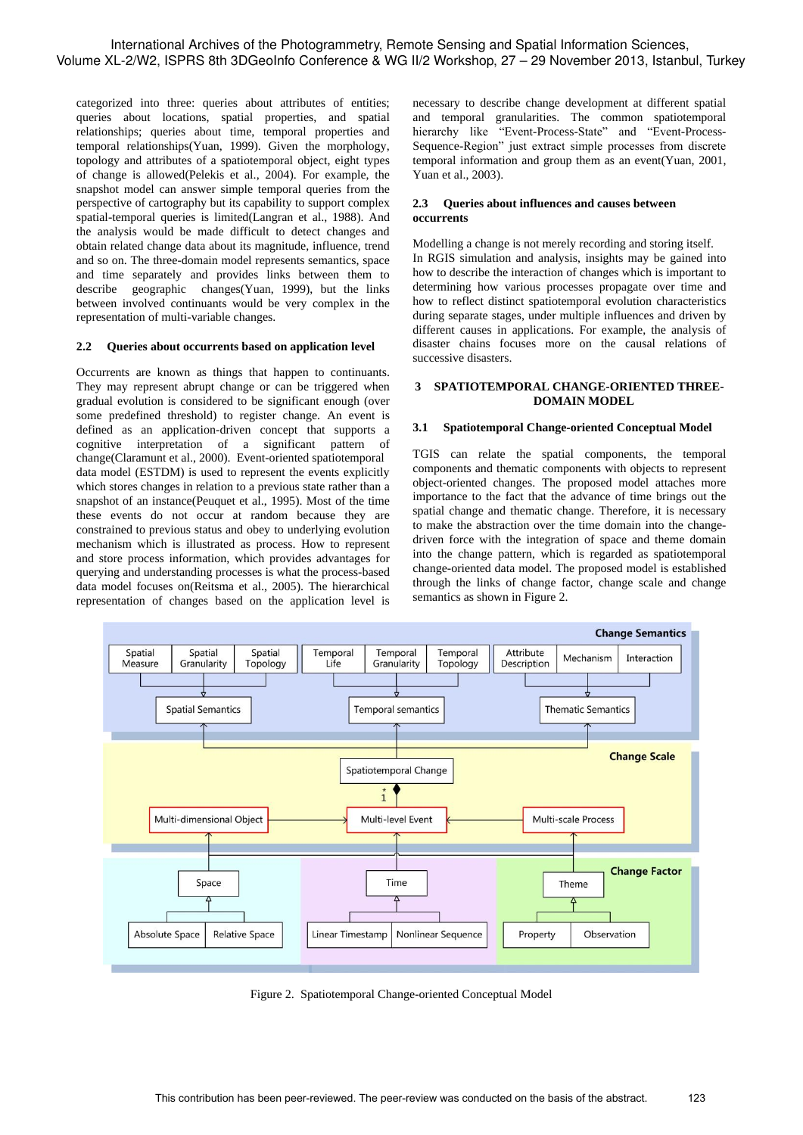categorized into three: queries about attributes of entities; queries about locations, spatial properties, and spatial relationships; queries about time, temporal properties and temporal relationships(Yuan, 1999). Given the morphology, topology and attributes of a spatiotemporal object, eight types of change is allowed(Pelekis et al., 2004). For example, the snapshot model can answer simple temporal queries from the perspective of cartography but its capability to support complex spatial-temporal queries is limited(Langran et al., 1988). And the analysis would be made difficult to detect changes and obtain related change data about its magnitude, influence, trend and so on. The three-domain model represents semantics, space and time separately and provides links between them to describe geographic changes(Yuan, 1999), but the links between involved continuants would be very complex in the representation of multi-variable changes.

#### **2.2 Queries about occurrents based on application level**

Occurrents are known as things that happen to continuants. They may represent abrupt change or can be triggered when gradual evolution is considered to be significant enough (over some predefined threshold) to register change. An event is defined as an application-driven concept that supports a cognitive interpretation of a significant pattern of change(Claramunt et al., 2000). Event-oriented spatiotemporal data model (ESTDM) is used to represent the events explicitly which stores changes in relation to a previous state rather than a snapshot of an instance(Peuquet et al., 1995). Most of the time these events do not occur at random because they are constrained to previous status and obey to underlying evolution mechanism which is illustrated as process. How to represent and store process information, which provides advantages for querying and understanding processes is what the process-based data model focuses on(Reitsma et al., 2005). The hierarchical representation of changes based on the application level is

necessary to describe change development at different spatial and temporal granularities. The common spatiotemporal hierarchy like "Event-Process-State" and "Event-Process-Sequence-Region" just extract simple processes from discrete temporal information and group them as an event(Yuan, 2001, Yuan et al., 2003).

### **2.3 Queries about influences and causes between occurrents**

Modelling a change is not merely recording and storing itself. In RGIS simulation and analysis, insights may be gained into how to describe the interaction of changes which is important to determining how various processes propagate over time and how to reflect distinct spatiotemporal evolution characteristics during separate stages, under multiple influences and driven by different causes in applications. For example, the analysis of disaster chains focuses more on the causal relations of successive disasters.

#### **3 SPATIOTEMPORAL CHANGE-ORIENTED THREE-DOMAIN MODEL**

### **3.1 Spatiotemporal Change-oriented Conceptual Model**

TGIS can relate the spatial components, the temporal components and thematic components with objects to represent object-oriented changes. The proposed model attaches more importance to the fact that the advance of time brings out the spatial change and thematic change. Therefore, it is necessary to make the abstraction over the time domain into the changedriven force with the integration of space and theme domain into the change pattern, which is regarded as spatiotemporal change-oriented data model. The proposed model is established through the links of change factor, change scale and change semantics as shown in Figure 2.



Figure 2. Spatiotemporal Change-oriented Conceptual Model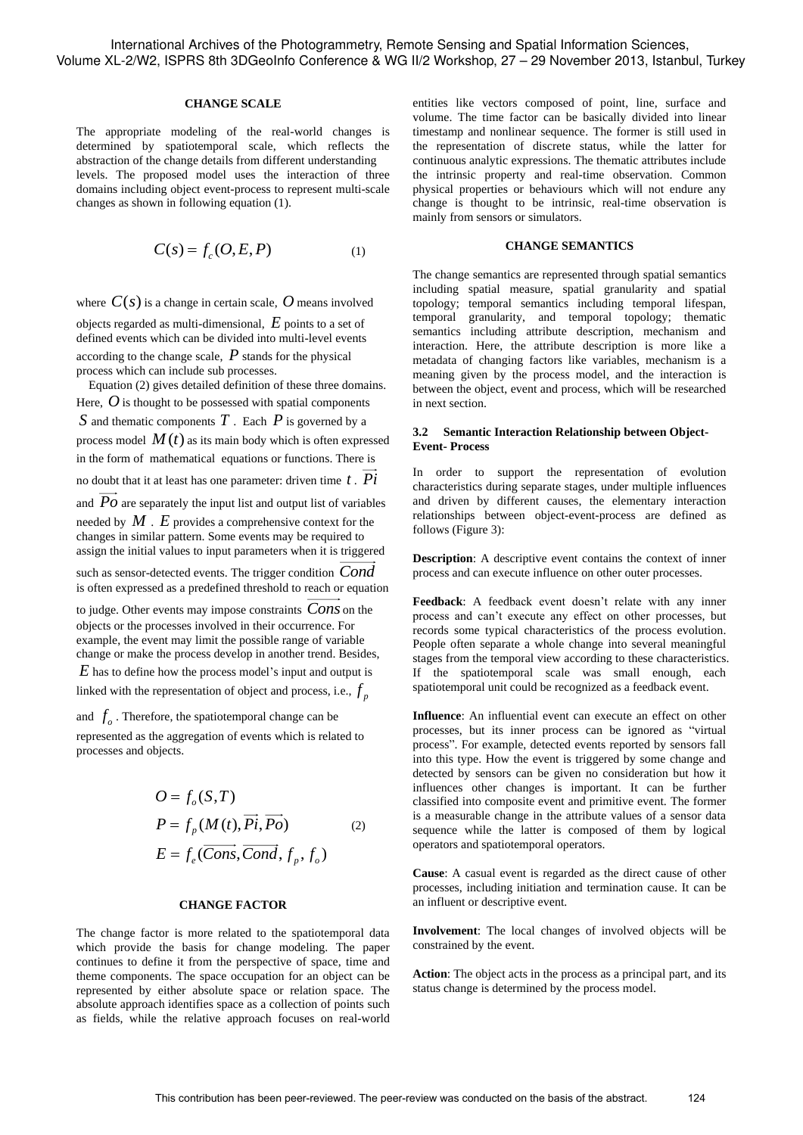#### **CHANGE SCALE**

The appropriate modeling of the real-world changes is determined by spatiotemporal scale, which reflects the abstraction of the change details from different understanding levels. The proposed model uses the interaction of three domains including object event-process to represent multi-scale changes as shown in following equation (1).

$$
C(s) = f_c(O, E, P) \tag{1}
$$

where  $C(s)$  is a change in certain scale,  $O$  means involved

objects regarded as multi-dimensional, *E* points to a set of defined events which can be divided into multi-level events according to the change scale, *P* stands for the physical process which can include sub processes.

Equation (2) gives detailed definition of these three domains. Here,  $O$  is thought to be possessed with spatial components *S* and thematic components *T* . Each *P* is governed by a process model  $M(t)$  as its main body which is often expressed in the form of mathematical equations or functions. There is

no doubt that it at least has one parameter: driven time *t* . *Pi*

and  $Po$  are separately the input list and output list of variables needed by *M* . *E* provides a comprehensive context for the changes in similar pattern. Some events may be required to assign the initial values to input parameters when it is triggered

such as sensor-detected events. The trigger condition *Cond* is often expressed as a predefined threshold to reach or equation

to judge. Other events may impose constraints *Cons* on the objects or the processes involved in their occurrence. For example, the event may limit the possible range of variable change or make the process develop in another trend. Besides,

*E* has to define how the process model's input and output is linked with the representation of object and process, i.e.,  $f_p$ 

and  $f_o$ . Therefore, the spatiotemporal change can be represented as the aggregation of events which is related to processes and objects.

$$
O = f_o(S, T)
$$
  
\n
$$
P = f_p(M(t), \overrightarrow{Pi}, \overrightarrow{Po})
$$
  
\n
$$
E = f_e(\overrightarrow{Cons}, \overrightarrow{Cond}, f_p, f_o)
$$
 (2)

### **CHANGE FACTOR**

The change factor is more related to the spatiotemporal data which provide the basis for change modeling. The paper continues to define it from the perspective of space, time and theme components. The space occupation for an object can be represented by either absolute space or relation space. The absolute approach identifies space as a collection of points such as fields, while the relative approach focuses on real-world entities like vectors composed of point, line, surface and volume. The time factor can be basically divided into linear timestamp and nonlinear sequence. The former is still used in the representation of discrete status, while the latter for continuous analytic expressions. The thematic attributes include the intrinsic property and real-time observation. Common physical properties or behaviours which will not endure any change is thought to be intrinsic, real-time observation is mainly from sensors or simulators.

## **CHANGE SEMANTICS**

The change semantics are represented through spatial semantics including spatial measure, spatial granularity and spatial topology; temporal semantics including temporal lifespan, temporal granularity, and temporal topology; thematic semantics including attribute description, mechanism and interaction. Here, the attribute description is more like a metadata of changing factors like variables, mechanism is a meaning given by the process model, and the interaction is between the object, event and process, which will be researched in next section.

### **3.2 Semantic Interaction Relationship between Object-Event- Process**

In order to support the representation of evolution characteristics during separate stages, under multiple influences and driven by different causes, the elementary interaction relationships between object-event-process are defined as follows (Figure 3):

**Description**: A descriptive event contains the context of inner process and can execute influence on other outer processes.

**Feedback**: A feedback event doesn't relate with any inner process and can't execute any effect on other processes, but records some typical characteristics of the process evolution. People often separate a whole change into several meaningful stages from the temporal view according to these characteristics. If the spatiotemporal scale was small enough, each spatiotemporal unit could be recognized as a feedback event.

**Influence**: An influential event can execute an effect on other processes, but its inner process can be ignored as "virtual process". For example, detected events reported by sensors fall into this type. How the event is triggered by some change and detected by sensors can be given no consideration but how it influences other changes is important. It can be further classified into composite event and primitive event. The former is a measurable change in the attribute values of a sensor data sequence while the latter is composed of them by logical operators and spatiotemporal operators.

**Cause**: A casual event is regarded as the direct cause of other processes, including initiation and termination cause. It can be an influent or descriptive event.

**Involvement**: The local changes of involved objects will be constrained by the event.

**Action**: The object acts in the process as a principal part, and its status change is determined by the process model.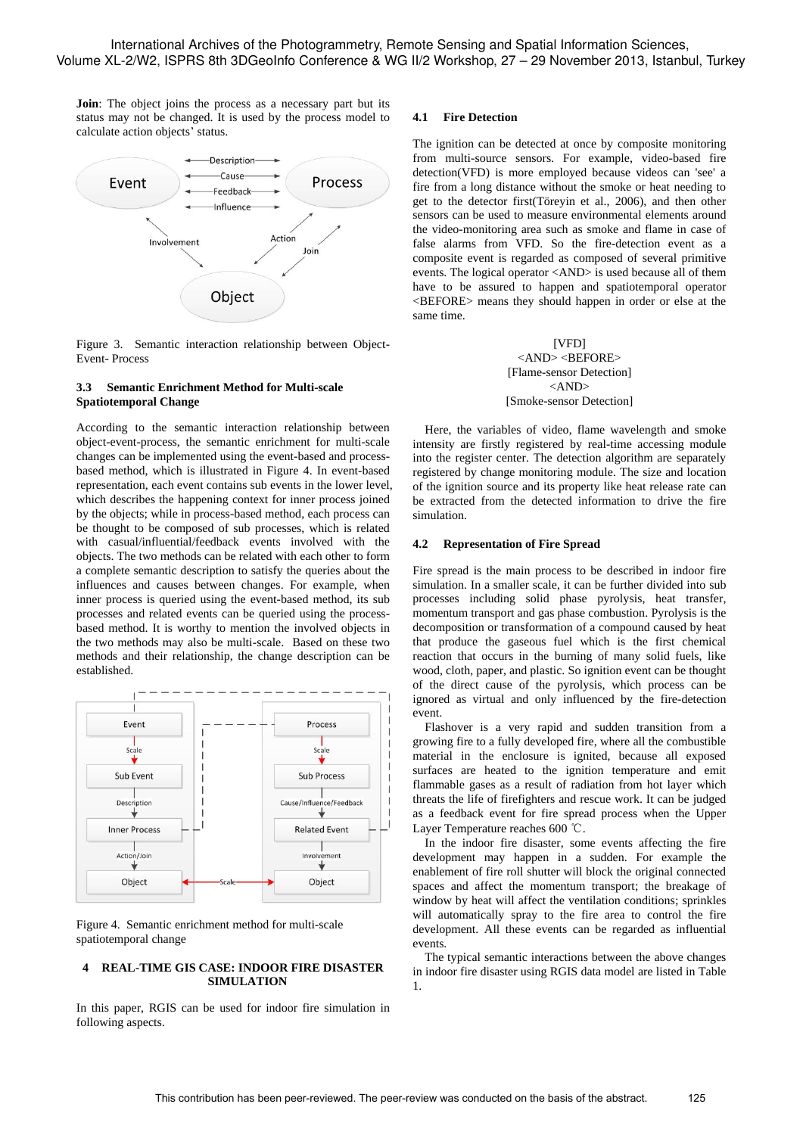**Join**: The object joins the process as a necessary part but its status may not be changed. It is used by the process model to calculate action objects' status.



Figure 3. Semantic interaction relationship between Object-Event- Process

#### **3.3 Semantic Enrichment Method for Multi-scale Spatiotemporal Change**

According to the semantic interaction relationship between object-event-process, the semantic enrichment for multi-scale changes can be implemented using the event-based and processbased method, which is illustrated in Figure 4. In event-based representation, each event contains sub events in the lower level, which describes the happening context for inner process joined by the objects; while in process-based method, each process can be thought to be composed of sub processes, which is related with casual/influential/feedback events involved with the objects. The two methods can be related with each other to form a complete semantic description to satisfy the queries about the influences and causes between changes. For example, when inner process is queried using the event-based method, its sub processes and related events can be queried using the processbased method. It is worthy to mention the involved objects in the two methods may also be multi-scale. Based on these two methods and their relationship, the change description can be established.



Figure 4. Semantic enrichment method for multi-scale spatiotemporal change

#### **4 REAL-TIME GIS CASE: INDOOR FIRE DISASTER SIMULATION**

In this paper, RGIS can be used for indoor fire simulation in following aspects.

## **4.1 Fire Detection**

The ignition can be detected at once by composite monitoring from multi-source sensors. For example, video-based fire detection(VFD) is more employed because videos can 'see' a fire from a long distance without the smoke or heat needing to get to the detector first(Töreyin et al., 2006), and then other sensors can be used to measure environmental elements around the video-monitoring area such as smoke and flame in case of false alarms from VFD. So the fire-detection event as a composite event is regarded as composed of several primitive events. The logical operator <AND> is used because all of them have to be assured to happen and spatiotemporal operator <BEFORE> means they should happen in order or else at the same time.

> [VFD] <AND><BEFORE> [Flame-sensor Detection] <AND> [Smoke-sensor Detection]

Here, the variables of video, flame wavelength and smoke intensity are firstly registered by real-time accessing module into the register center. The detection algorithm are separately registered by change monitoring module. The size and location of the ignition source and its property like heat release rate can be extracted from the detected information to drive the fire simulation.

#### **4.2 Representation of Fire Spread**

Fire spread is the main process to be described in indoor fire simulation. In a smaller scale, it can be further divided into sub processes including solid phase pyrolysis, heat transfer, momentum transport and gas phase combustion. Pyrolysis is the decomposition or transformation of a compound caused by heat that produce the gaseous fuel which is the first chemical reaction that occurs in the burning of many solid fuels, like wood, cloth, paper, and plastic. So ignition event can be thought of the direct cause of the pyrolysis, which process can be ignored as virtual and only influenced by the fire-detection event.

Flashover is a very rapid and sudden transition from a growing fire to a fully developed fire, where all the combustible material in the enclosure is ignited, because all exposed surfaces are heated to the ignition temperature and emit flammable gases as a result of radiation from hot layer which threats the life of firefighters and rescue work. It can be judged as a feedback event for fire spread process when the Upper Layer Temperature reaches 600 ℃.

In the indoor fire disaster, some events affecting the fire development may happen in a sudden. For example the enablement of fire roll shutter will block the original connected spaces and affect the momentum transport; the breakage of window by heat will affect the ventilation conditions; sprinkles will automatically spray to the fire area to control the fire development. All these events can be regarded as influential events.

The typical semantic interactions between the above changes in indoor fire disaster using RGIS data model are listed in Table 1.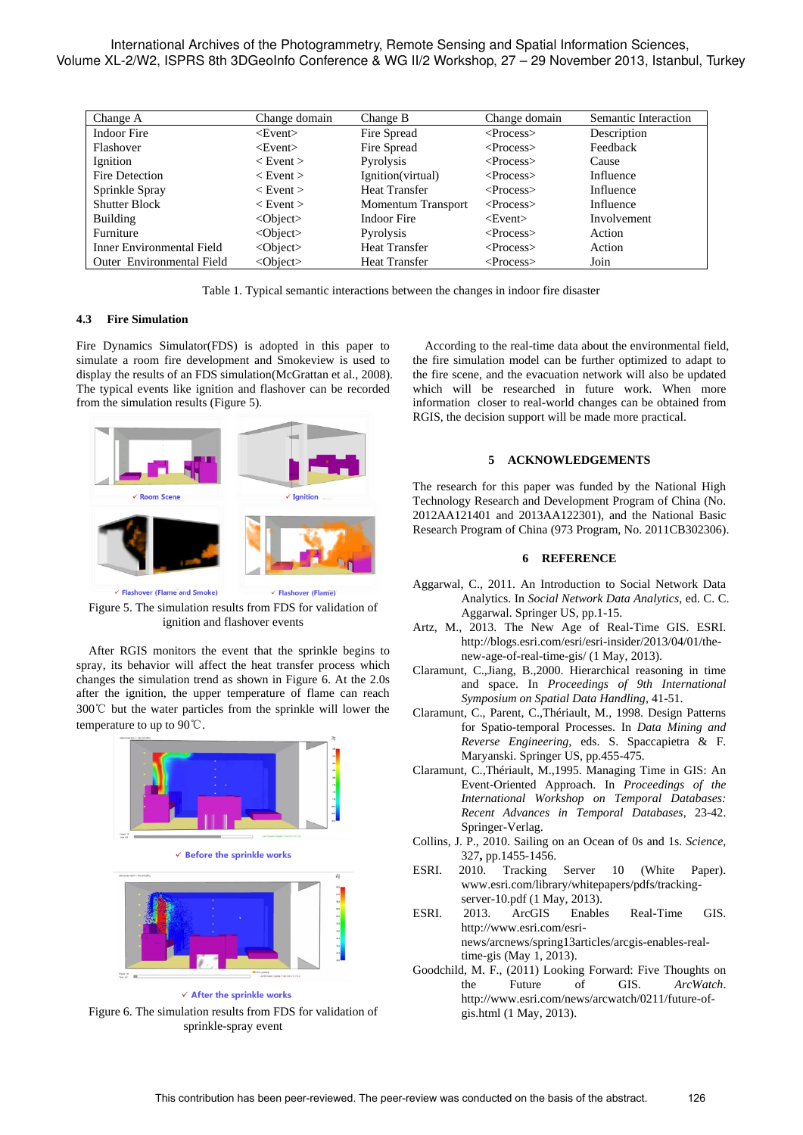International Archives of the Photogrammetry, Remote Sensing and Spatial Information Sciences, Volume XL-2/W2, ISPRS 8th 3DGeoInfo Conference & WG II/2 Workshop, 27 – 29 November 2013, Istanbul, Turkey

| Change A                  | Change domain  | Change B                  | Change domain       | Semantic Interaction |
|---------------------------|----------------|---------------------------|---------------------|----------------------|
| Indoor Fire               | $<$ Event $>$  | Fire Spread               | $<\!\!Process\!\!>$ | Description          |
| Flashover                 | $<$ Event $>$  | Fire Spread               | $<$ Process $>$     | Feedback             |
| Ignition                  | $<$ Event $>$  | Pyrolysis                 | $<$ Process $>$     | Cause                |
| Fire Detection            | $<$ Event $>$  | Ignition(virtual)         | $<$ Process $>$     | Influence            |
| Sprinkle Spray            | $<$ Event $>$  | <b>Heat Transfer</b>      | $<$ Process $>$     | <b>Influence</b>     |
| <b>Shutter Block</b>      | $<$ Event $>$  | <b>Momentum Transport</b> | $<$ Process $>$     | Influence            |
| <b>Building</b>           | $<$ Object $>$ | Indoor Fire               | $<$ Event $>$       | Involvement          |
| Furniture                 | $<$ Object $>$ | Pyrolysis                 | $<$ Process $>$     | Action               |
| Inner Environmental Field | $<$ Object $>$ | <b>Heat Transfer</b>      | $<$ Process $>$     | Action               |
| Outer Environmental Field | $<$ Object $>$ | <b>Heat Transfer</b>      | $<\!\!Process\!\!>$ | Join                 |
|                           |                |                           |                     |                      |

Table 1. Typical semantic interactions between the changes in indoor fire disaster

### **4.3 Fire Simulation**

Fire Dynamics Simulator(FDS) is adopted in this paper to simulate a room fire development and Smokeview is used to display the results of an FDS simulation(McGrattan et al., 2008). The typical events like ignition and flashover can be recorded from the simulation results (Figure 5).



Figure 5. The simulation results from FDS for validation of ignition and flashover events

After RGIS monitors the event that the sprinkle begins to spray, its behavior will affect the heat transfer process which changes the simulation trend as shown in Figure 6. At the 2.0s after the ignition, the upper temperature of flame can reach 300℃ but the water particles from the sprinkle will lower the temperature to up to 90℃.



Figure 6. The simulation results from FDS for validation of sprinkle-spray event

According to the real-time data about the environmental field, the fire simulation model can be further optimized to adapt to the fire scene, and the evacuation network will also be updated which will be researched in future work. When more information closer to real-world changes can be obtained from RGIS, the decision support will be made more practical.

#### **5 ACKNOWLEDGEMENTS**

The research for this paper was funded by the National High Technology Research and Development Program of China (No. 2012AA121401 and 2013AA122301), and the National Basic Research Program of China (973 Program, No. 2011CB302306).

#### **6 REFERENCE**

- Aggarwal, C., 2011. An Introduction to Social Network Data Analytics. In *Social Network Data Analytics,* ed. C. C. Aggarwal. Springer US, pp.1-15.
- Artz, M., 2013. The New Age of Real-Time GIS. ESRI. http://blogs.esri.com/esri/esri-insider/2013/04/01/thenew-age-of-real-time-gis/ (1 May, 2013).
- Claramunt, C.,Jiang, B.,2000. Hierarchical reasoning in time and space. In *Proceedings of 9th International Symposium on Spatial Data Handling*, 41-51.
- Claramunt, C., Parent, C.,Thériault, M., 1998. Design Patterns for Spatio-temporal Processes. In *Data Mining and Reverse Engineering,* eds. S. Spaccapietra & F. Maryanski. Springer US, pp.455-475.
- Claramunt, C.,Thériault, M.,1995. Managing Time in GIS: An Event-Oriented Approach. In *Proceedings of the International Workshop on Temporal Databases: Recent Advances in Temporal Databases*, 23-42. Springer-Verlag.
- Collins, J. P., 2010. Sailing on an Ocean of 0s and 1s. *Science,*  327**,** pp.1455-1456.
- ESRI. 2010. Tracking Server 10 (White Paper). www.esri.com/library/whitepapers/pdfs/trackingserver-10.pdf (1 May, 2013).
- ESRI. 2013. ArcGIS Enables Real-Time GIS. http://www.esri.com/esrinews/arcnews/spring13articles/arcgis-enables-realtime-gis (May 1, 2013).
- Goodchild, M. F., (2011) Looking Forward: Five Thoughts on the Future of GIS. *ArcWatch*. http://www.esri.com/news/arcwatch/0211/future-ofgis.html (1 May, 2013).